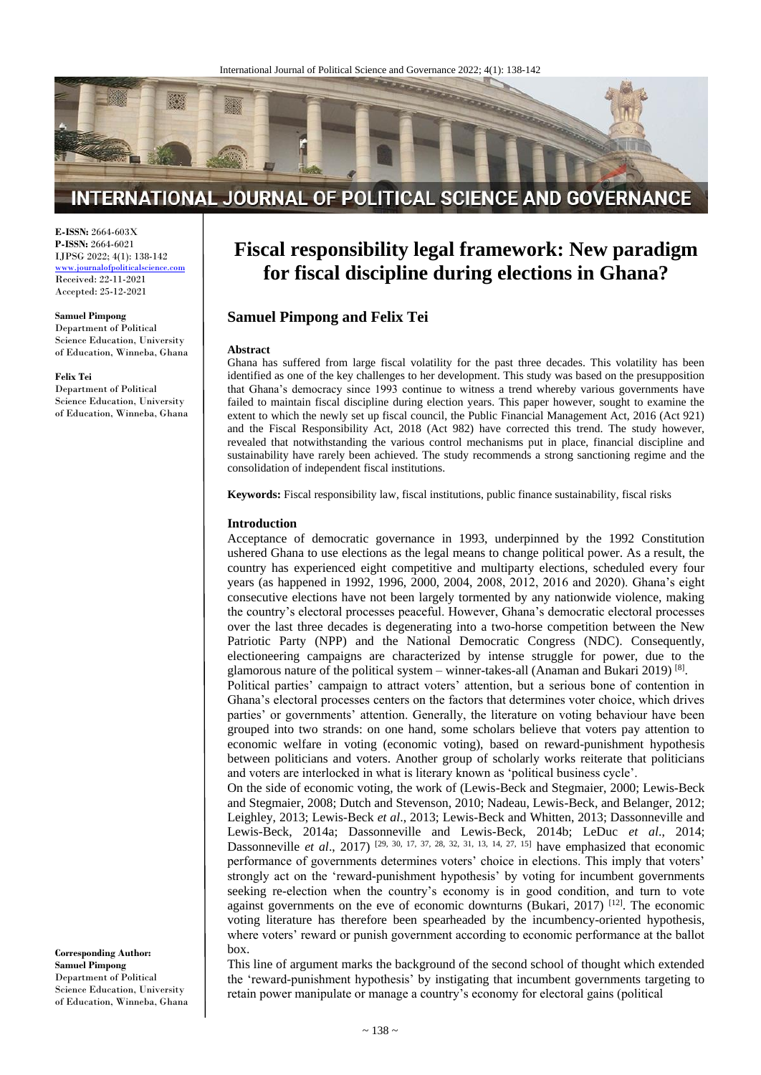

# INTERNATIONAL JOURNAL OF POLITICAL SCIENCE AND GOVERNANCE

**E-ISSN:** 2664-603X **P-ISSN:** 2664-6021 IJPSG 2022; 4(1): 138-142

[www.journalofpoliticalscience.com](http://www.journalofpoliticalscience.com/) Received: 22-11-2021 Accepted: 25-12-2021

#### **Samuel Pimpong**

Department of Political Science Education, University of Education, Winneba, Ghana

### **Felix Tei**

Department of Political Science Education, University of Education, Winneba, Ghana **Fiscal responsibility legal framework: New paradigm for fiscal discipline during elections in Ghana?**

# **Samuel Pimpong and Felix Tei**

#### **Abstract**

Ghana has suffered from large fiscal volatility for the past three decades. This volatility has been identified as one of the key challenges to her development. This study was based on the presupposition that Ghana's democracy since 1993 continue to witness a trend whereby various governments have failed to maintain fiscal discipline during election years. This paper however, sought to examine the extent to which the newly set up fiscal council, the Public Financial Management Act, 2016 (Act 921) and the Fiscal Responsibility Act, 2018 (Act 982) have corrected this trend. The study however, revealed that notwithstanding the various control mechanisms put in place, financial discipline and sustainability have rarely been achieved. The study recommends a strong sanctioning regime and the consolidation of independent fiscal institutions.

**Keywords:** Fiscal responsibility law, fiscal institutions, public finance sustainability, fiscal risks

### **Introduction**

Acceptance of democratic governance in 1993, underpinned by the 1992 Constitution ushered Ghana to use elections as the legal means to change political power. As a result, the country has experienced eight competitive and multiparty elections, scheduled every four years (as happened in 1992, 1996, 2000, 2004, 2008, 2012, 2016 and 2020). Ghana's eight consecutive elections have not been largely tormented by any nationwide violence, making the country's electoral processes peaceful. However, Ghana's democratic electoral processes over the last three decades is degenerating into a two-horse competition between the New Patriotic Party (NPP) and the National Democratic Congress (NDC). Consequently, electioneering campaigns are characterized by intense struggle for power, due to the glamorous nature of the political system – winner-takes-all (Anaman and Bukari 2019)<sup>[8]</sup>.

Political parties' campaign to attract voters' attention, but a serious bone of contention in Ghana's electoral processes centers on the factors that determines voter choice, which drives parties' or governments' attention. Generally, the literature on voting behaviour have been grouped into two strands: on one hand, some scholars believe that voters pay attention to economic welfare in voting (economic voting), based on reward-punishment hypothesis between politicians and voters. Another group of scholarly works reiterate that politicians and voters are interlocked in what is literary known as 'political business cycle'.

On the side of economic voting, the work of (Lewis-Beck and Stegmaier, 2000; Lewis-Beck and Stegmaier, 2008; Dutch and Stevenson, 2010; Nadeau, Lewis-Beck, and Belanger, 2012; Leighley, 2013; Lewis-Beck *et al*., 2013; Lewis-Beck and Whitten, 2013; Dassonneville and Lewis-Beck, 2014a; Dassonneville and Lewis-Beck, 2014b; LeDuc *et al*., 2014; Dassonneville *et al.*, 2017) <sup>[29, 30, 17, 37, 28, 32, 31, 13, 14, 27, 15] have emphasized that economic</sup> performance of governments determines voters' choice in elections. This imply that voters' strongly act on the 'reward-punishment hypothesis' by voting for incumbent governments seeking re-election when the country's economy is in good condition, and turn to vote against governments on the eve of economic downturns (Bukari, 2017) [12]. The economic voting literature has therefore been spearheaded by the incumbency-oriented hypothesis, where voters' reward or punish government according to economic performance at the ballot box.

This line of argument marks the background of the second school of thought which extended the 'reward-punishment hypothesis' by instigating that incumbent governments targeting to retain power manipulate or manage a country's economy for electoral gains (political

**Corresponding Author: Samuel Pimpong** Department of Political Science Education, University of Education, Winneba, Ghana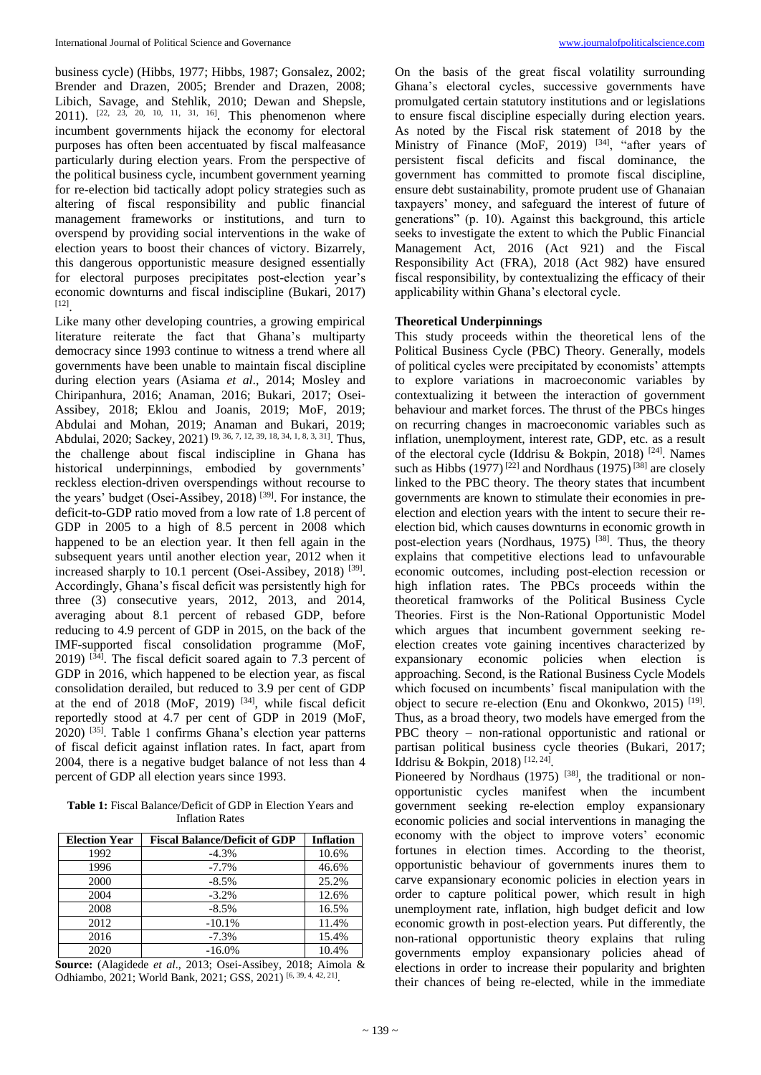business cycle) (Hibbs, 1977; Hibbs, 1987; Gonsalez, 2002; Brender and Drazen, 2005; Brender and Drazen, 2008; Libich, Savage, and Stehlik, 2010; Dewan and Shepsle, 2011). <sup>[22, 23, 20, 10, 11, 31, 16]</sup>. This phenomenon where incumbent governments hijack the economy for electoral purposes has often been accentuated by fiscal malfeasance particularly during election years. From the perspective of the political business cycle, incumbent government yearning for re-election bid tactically adopt policy strategies such as altering of fiscal responsibility and public financial management frameworks or institutions, and turn to overspend by providing social interventions in the wake of election years to boost their chances of victory. Bizarrely, this dangerous opportunistic measure designed essentially for electoral purposes precipitates post-election year's economic downturns and fiscal indiscipline (Bukari, 2017) [12] .

Like many other developing countries, a growing empirical literature reiterate the fact that Ghana's multiparty democracy since 1993 continue to witness a trend where all governments have been unable to maintain fiscal discipline during election years (Asiama *et al*., 2014; Mosley and Chiripanhura, 2016; Anaman, 2016; Bukari, 2017; Osei-Assibey, 2018; Eklou and Joanis, 2019; MoF, 2019; Abdulai and Mohan, 2019; Anaman and Bukari, 2019; Abdulai, 2020; Sackey, 2021)<sup>[9, 36, 7, 12, 39, 18, 34, 1, 8, 3, 31]</sup>. Thus, the challenge about fiscal indiscipline in Ghana has historical underpinnings, embodied by governments' reckless election-driven overspendings without recourse to the years' budget (Osei-Assibey,  $2018$ ) <sup>[39]</sup>. For instance, the deficit-to-GDP ratio moved from a low rate of 1.8 percent of GDP in 2005 to a high of 8.5 percent in 2008 which happened to be an election year. It then fell again in the subsequent years until another election year, 2012 when it increased sharply to 10.1 percent (Osei-Assibey, 2018)<sup>[39]</sup>. Accordingly, Ghana's fiscal deficit was persistently high for three (3) consecutive years, 2012, 2013, and 2014, averaging about 8.1 percent of rebased GDP, before reducing to 4.9 percent of GDP in 2015, on the back of the IMF-supported fiscal consolidation programme (MoF,  $2019$ )  $^{[34]}$ . The fiscal deficit soared again to 7.3 percent of GDP in 2016, which happened to be election year, as fiscal consolidation derailed, but reduced to 3.9 per cent of GDP at the end of 2018 (MoF, 2019) [34], while fiscal deficit reportedly stood at 4.7 per cent of GDP in 2019 (MoF,  $2020$ )  $^{[35]}$ . Table 1 confirms Ghana's election year patterns of fiscal deficit against inflation rates. In fact, apart from 2004, there is a negative budget balance of not less than 4 percent of GDP all election years since 1993.

**Table 1:** Fiscal Balance/Deficit of GDP in Election Years and Inflation Rates

| <b>Election Year</b> | <b>Fiscal Balance/Deficit of GDP</b> | <b>Inflation</b> |
|----------------------|--------------------------------------|------------------|
| 1992                 | $-4.3%$                              | 10.6%            |
| 1996                 | $-7.7\%$                             | 46.6%            |
| 2000                 | $-8.5\%$                             | 25.2%            |
| 2004                 | $-3.2%$                              | 12.6%            |
| 2008                 | $-8.5%$                              | 16.5%            |
| 2012                 | $-10.1%$                             | 11.4%            |
| 2016                 | $-7.3%$                              | 15.4%            |
| 2020                 | $-16.0\%$                            | 10.4%            |

**Source:** (Alagidede *et al*., 2013; Osei-Assibey, 2018; Aimola & Odhiambo, 2021; World Bank, 2021; GSS, 2021)<sup>[6, 39, 4, 42, 21]</sup>.

On the basis of the great fiscal volatility surrounding Ghana's electoral cycles, successive governments have promulgated certain statutory institutions and or legislations to ensure fiscal discipline especially during election years. As noted by the Fiscal risk statement of 2018 by the Ministry of Finance (MoF, 2019) <sup>[34]</sup>, "after years of persistent fiscal deficits and fiscal dominance, the government has committed to promote fiscal discipline, ensure debt sustainability, promote prudent use of Ghanaian taxpayers' money, and safeguard the interest of future of generations" (p. 10). Against this background, this article seeks to investigate the extent to which the Public Financial Management Act, 2016 (Act 921) and the Fiscal Responsibility Act (FRA), 2018 (Act 982) have ensured fiscal responsibility, by contextualizing the efficacy of their applicability within Ghana's electoral cycle.

# **Theoretical Underpinnings**

This study proceeds within the theoretical lens of the Political Business Cycle (PBC) Theory. Generally, models of political cycles were precipitated by economists' attempts to explore variations in macroeconomic variables by contextualizing it between the interaction of government behaviour and market forces. The thrust of the PBCs hinges on recurring changes in macroeconomic variables such as inflation, unemployment, interest rate, GDP, etc. as a result of the electoral cycle (Iddrisu & Bokpin, 2018) [24]. Names such as Hibbs (1977)<sup>[22]</sup> and Nordhaus (1975)<sup>[38]</sup> are closely linked to the PBC theory. The theory states that incumbent governments are known to stimulate their economies in preelection and election years with the intent to secure their reelection bid, which causes downturns in economic growth in post-election years (Nordhaus, 1975)<sup>[38]</sup>. Thus, the theory explains that competitive elections lead to unfavourable economic outcomes, including post-election recession or high inflation rates. The PBCs proceeds within the theoretical framworks of the Political Business Cycle Theories. First is the Non-Rational Opportunistic Model which argues that incumbent government seeking reelection creates vote gaining incentives characterized by expansionary economic policies when election is approaching. Second, is the Rational Business Cycle Models which focused on incumbents' fiscal manipulation with the object to secure re-election (Enu and Okonkwo, 2015)<sup>[19]</sup>. Thus, as a broad theory, two models have emerged from the PBC theory – non-rational opportunistic and rational or partisan political business cycle theories (Bukari, 2017; Iddrisu & Bokpin, 2018) [12, 24] .

Pioneered by Nordhaus  $(1975)$  <sup>[38]</sup>, the traditional or nonopportunistic cycles manifest when the incumbent government seeking re-election employ expansionary economic policies and social interventions in managing the economy with the object to improve voters' economic fortunes in election times. According to the theorist, opportunistic behaviour of governments inures them to carve expansionary economic policies in election years in order to capture political power, which result in high unemployment rate, inflation, high budget deficit and low economic growth in post-election years. Put differently, the non-rational opportunistic theory explains that ruling governments employ expansionary policies ahead of elections in order to increase their popularity and brighten their chances of being re-elected, while in the immediate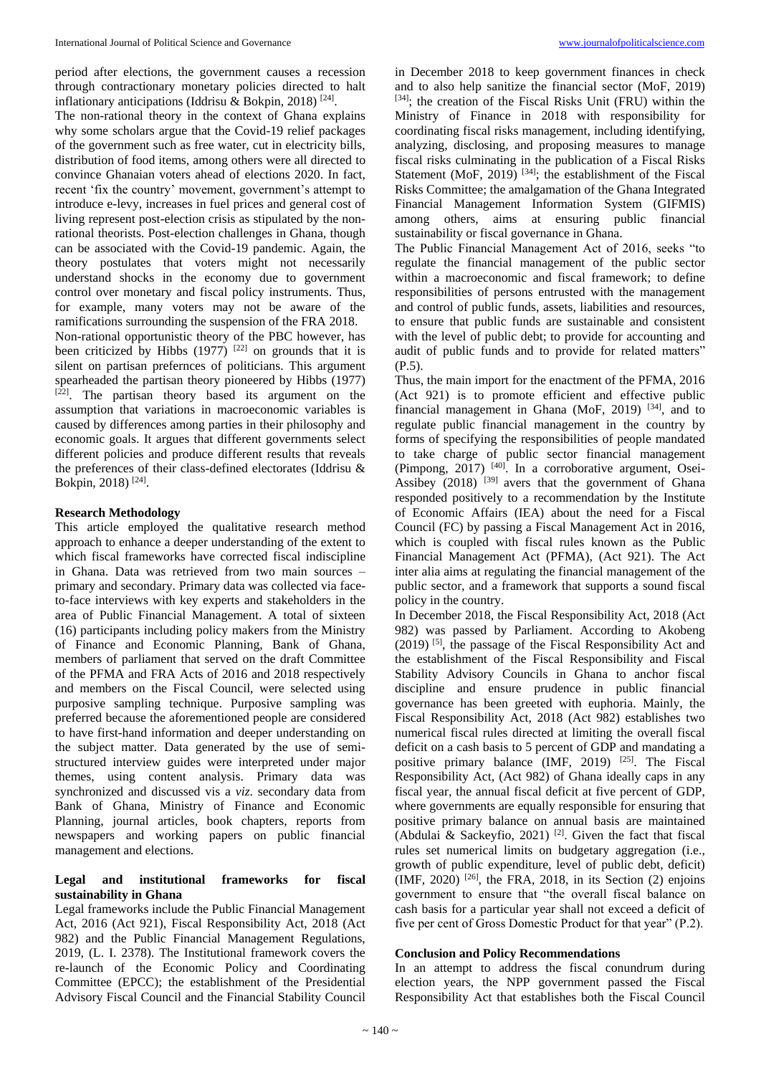period after elections, the government causes a recession through contractionary monetary policies directed to halt inflationary anticipations (Iddrisu & Bokpin, 2018) [24] .

The non-rational theory in the context of Ghana explains why some scholars argue that the Covid-19 relief packages of the government such as free water, cut in electricity bills, distribution of food items, among others were all directed to convince Ghanaian voters ahead of elections 2020. In fact, recent 'fix the country' movement, government's attempt to introduce e-levy, increases in fuel prices and general cost of living represent post-election crisis as stipulated by the nonrational theorists. Post-election challenges in Ghana, though can be associated with the Covid-19 pandemic. Again, the theory postulates that voters might not necessarily understand shocks in the economy due to government control over monetary and fiscal policy instruments. Thus, for example, many voters may not be aware of the ramifications surrounding the suspension of the FRA 2018. Non-rational opportunistic theory of the PBC however, has been criticized by Hibbs  $(1977)$ <sup>[22]</sup> on grounds that it is silent on partisan prefernces of politicians. This argument spearheaded the partisan theory pioneered by Hibbs (1977)  $[22]$ . The partisan theory based its argument on the assumption that variations in macroeconomic variables is caused by differences among parties in their philosophy and economic goals. It argues that different governments select different policies and produce different results that reveals the preferences of their class-defined electorates (Iddrisu & Bokpin, 2018)<sup>[24]</sup>.

## **Research Methodology**

This article employed the qualitative research method approach to enhance a deeper understanding of the extent to which fiscal frameworks have corrected fiscal indiscipline in Ghana. Data was retrieved from two main sources – primary and secondary. Primary data was collected via faceto-face interviews with key experts and stakeholders in the area of Public Financial Management. A total of sixteen (16) participants including policy makers from the Ministry of Finance and Economic Planning, Bank of Ghana, members of parliament that served on the draft Committee of the PFMA and FRA Acts of 2016 and 2018 respectively and members on the Fiscal Council, were selected using purposive sampling technique. Purposive sampling was preferred because the aforementioned people are considered to have first-hand information and deeper understanding on the subject matter. Data generated by the use of semistructured interview guides were interpreted under major themes, using content analysis. Primary data was synchronized and discussed vis a *viz*. secondary data from Bank of Ghana, Ministry of Finance and Economic Planning, journal articles, book chapters, reports from newspapers and working papers on public financial management and elections.

# **Legal and institutional frameworks for fiscal sustainability in Ghana**

Legal frameworks include the Public Financial Management Act, 2016 (Act 921), Fiscal Responsibility Act, 2018 (Act 982) and the Public Financial Management Regulations, 2019, (L. I. 2378). The Institutional framework covers the re-launch of the Economic Policy and Coordinating Committee (EPCC); the establishment of the Presidential Advisory Fiscal Council and the Financial Stability Council

in December 2018 to keep government finances in check and to also help sanitize the financial sector (MoF, 2019) [34]; the creation of the Fiscal Risks Unit (FRU) within the Ministry of Finance in 2018 with responsibility for coordinating fiscal risks management, including identifying, analyzing, disclosing, and proposing measures to manage fiscal risks culminating in the publication of a Fiscal Risks Statement (MoF, 2019)<sup>[34]</sup>; the establishment of the Fiscal Risks Committee; the amalgamation of the Ghana Integrated Financial Management Information System (GIFMIS) among others, aims at ensuring public financial sustainability or fiscal governance in Ghana.

The Public Financial Management Act of 2016, seeks "to regulate the financial management of the public sector within a macroeconomic and fiscal framework; to define responsibilities of persons entrusted with the management and control of public funds, assets, liabilities and resources, to ensure that public funds are sustainable and consistent with the level of public debt; to provide for accounting and audit of public funds and to provide for related matters" (P.5).

Thus, the main import for the enactment of the PFMA, 2016 (Act 921) is to promote efficient and effective public financial management in Ghana (MoF, 2019)  $[34]$ , and to regulate public financial management in the country by forms of specifying the responsibilities of people mandated to take charge of public sector financial management (Pimpong,  $2017$ )  $^{[40]}$ . In a corroborative argument, Osei-Assibey  $(2018)^{[39]}$  avers that the government of Ghana responded positively to a recommendation by the Institute of Economic Affairs (IEA) about the need for a Fiscal Council (FC) by passing a Fiscal Management Act in 2016, which is coupled with fiscal rules known as the Public Financial Management Act (PFMA), (Act 921). The Act inter alia aims at regulating the financial management of the public sector, and a framework that supports a sound fiscal policy in the country.

In December 2018, the Fiscal Responsibility Act, 2018 (Act 982) was passed by Parliament. According to Akobeng  $(2019)$  [5], the passage of the Fiscal Responsibility Act and the establishment of the Fiscal Responsibility and Fiscal Stability Advisory Councils in Ghana to anchor fiscal discipline and ensure prudence in public financial governance has been greeted with euphoria. Mainly, the Fiscal Responsibility Act, 2018 (Act 982) establishes two numerical fiscal rules directed at limiting the overall fiscal deficit on a cash basis to 5 percent of GDP and mandating a positive primary balance (IMF, 2019) [25]. The Fiscal Responsibility Act, (Act 982) of Ghana ideally caps in any fiscal year, the annual fiscal deficit at five percent of GDP, where governments are equally responsible for ensuring that positive primary balance on annual basis are maintained (Abdulai & Sackeyfio, 2021)<sup>[2]</sup>. Given the fact that fiscal rules set numerical limits on budgetary aggregation (i.e., growth of public expenditure, level of public debt, deficit)  $(MF, 2020)$  <sup>[26]</sup>, the FRA, 2018, in its Section (2) enjoins government to ensure that "the overall fiscal balance on cash basis for a particular year shall not exceed a deficit of five per cent of Gross Domestic Product for that year" (P.2).

## **Conclusion and Policy Recommendations**

In an attempt to address the fiscal conundrum during election years, the NPP government passed the Fiscal Responsibility Act that establishes both the Fiscal Council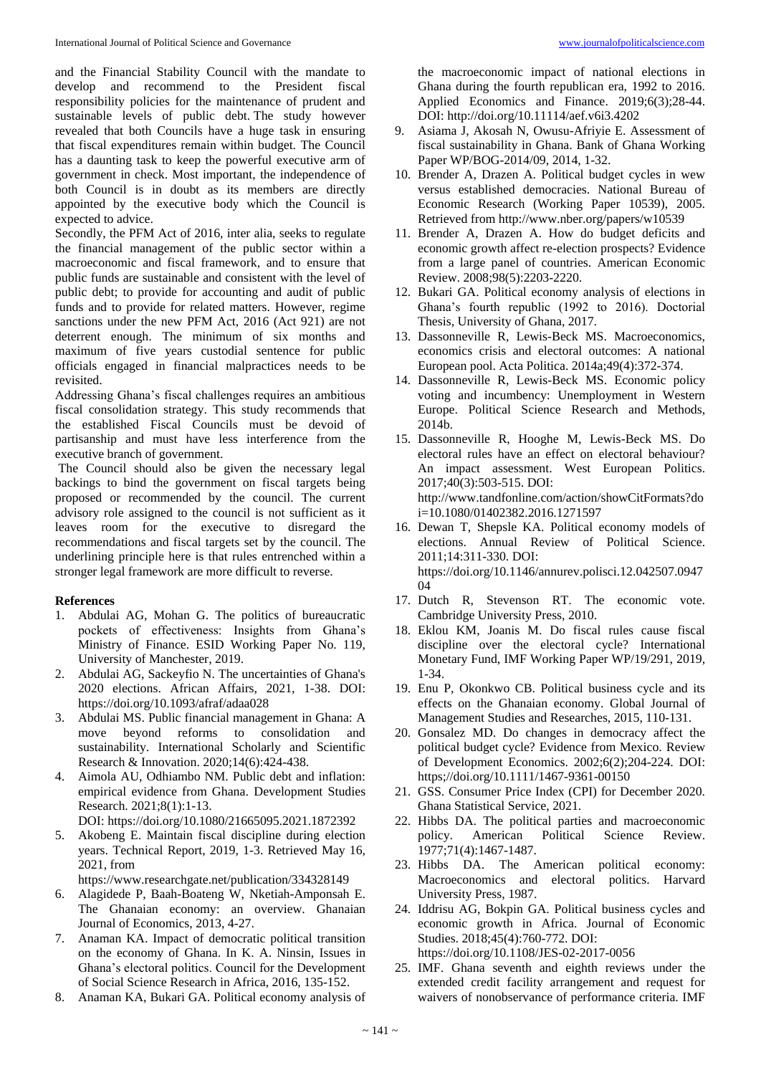and the Financial Stability Council with the mandate to develop and recommend to the President fiscal responsibility policies for the maintenance of prudent and sustainable levels of public debt. The study however revealed that both Councils have a huge task in ensuring that fiscal expenditures remain within budget. The Council has a daunting task to keep the powerful executive arm of government in check. Most important, the independence of both Council is in doubt as its members are directly appointed by the executive body which the Council is expected to advice.

Secondly, the PFM Act of 2016, inter alia, seeks to regulate the financial management of the public sector within a macroeconomic and fiscal framework, and to ensure that public funds are sustainable and consistent with the level of public debt; to provide for accounting and audit of public funds and to provide for related matters. However, regime sanctions under the new PFM Act, 2016 (Act 921) are not deterrent enough. The minimum of six months and maximum of five years custodial sentence for public officials engaged in financial malpractices needs to be revisited.

Addressing Ghana's fiscal challenges requires an ambitious fiscal consolidation strategy. This study recommends that the established Fiscal Councils must be devoid of partisanship and must have less interference from the executive branch of government.

The Council should also be given the necessary legal backings to bind the government on fiscal targets being proposed or recommended by the council. The current advisory role assigned to the council is not sufficient as it leaves room for the executive to disregard the recommendations and fiscal targets set by the council. The underlining principle here is that rules entrenched within a stronger legal framework are more difficult to reverse.

## **References**

- 1. Abdulai AG, Mohan G. The politics of bureaucratic pockets of effectiveness: Insights from Ghana's Ministry of Finance. ESID Working Paper No. 119, University of Manchester, 2019.
- 2. Abdulai AG, Sackeyfio N. The uncertainties of Ghana's 2020 elections. African Affairs, 2021, 1-38. DOI: https://doi.org/10.1093/afraf/adaa028
- 3. Abdulai MS. Public financial management in Ghana: A move beyond reforms to consolidation and sustainability. International Scholarly and Scientific Research & Innovation. 2020;14(6):424-438.
- 4. Aimola AU, Odhiambo NM. Public debt and inflation: empirical evidence from Ghana. Development Studies Research. 2021;8(1):1-13.

DOI: https://doi.org/10.1080/21665095.2021.1872392

5. Akobeng E. Maintain fiscal discipline during election years. Technical Report, 2019, 1-3. Retrieved May 16, 2021, from

https://www.researchgate.net/publication/334328149

- 6. Alagidede P, Baah-Boateng W, Nketiah-Amponsah E. The Ghanaian economy: an overview. Ghanaian Journal of Economics, 2013, 4-27.
- 7. Anaman KA. Impact of democratic political transition on the economy of Ghana. In K. A. Ninsin, Issues in Ghana's electoral politics. Council for the Development of Social Science Research in Africa, 2016, 135-152.
- 8. Anaman KA, Bukari GA. Political economy analysis of

the macroeconomic impact of national elections in Ghana during the fourth republican era, 1992 to 2016. Applied Economics and Finance. 2019;6(3);28-44. DOI: http://doi.org/10.11114/aef.v6i3.4202

- 9. Asiama J, Akosah N, Owusu-Afriyie E. Assessment of fiscal sustainability in Ghana. Bank of Ghana Working Paper WP/BOG-2014/09, 2014, 1-32.
- 10. Brender A, Drazen A. Political budget cycles in wew versus established democracies. National Bureau of Economic Research (Working Paper 10539), 2005. Retrieved from http://www.nber.org/papers/w10539
- 11. Brender A, Drazen A. How do budget deficits and economic growth affect re-election prospects? Evidence from a large panel of countries. American Economic Review. 2008;98(5):2203-2220.
- 12. Bukari GA. Political economy analysis of elections in Ghana's fourth republic (1992 to 2016). Doctorial Thesis, University of Ghana, 2017.
- 13. Dassonneville R, Lewis-Beck MS. Macroeconomics, economics crisis and electoral outcomes: A national European pool. Acta Politica. 2014a;49(4):372-374.
- 14. Dassonneville R, Lewis-Beck MS. Economic policy voting and incumbency: Unemployment in Western Europe. Political Science Research and Methods, 2014b.
- 15. Dassonneville R, Hooghe M, Lewis-Beck MS. Do electoral rules have an effect on electoral behaviour? An impact assessment. West European Politics. 2017;40(3):503-515. DOI: http://www.tandfonline.com/action/showCitFormats?do i=10.1080/01402382.2016.1271597
- 16. Dewan T, Shepsle KA. Political economy models of elections. Annual Review of Political Science. 2011;14:311-330. DOI: https://doi.org/10.1146/annurev.polisci.12.042507.0947  $04$
- 17. Dutch R, Stevenson RT. The economic vote. Cambridge University Press, 2010.
- 18. Eklou KM, Joanis M. Do fiscal rules cause fiscal discipline over the electoral cycle? International Monetary Fund, IMF Working Paper WP/19/291, 2019, 1-34.
- 19. Enu P, Okonkwo CB. Political business cycle and its effects on the Ghanaian economy. Global Journal of Management Studies and Researches, 2015, 110-131.
- 20. Gonsalez MD. Do changes in democracy affect the political budget cycle? Evidence from Mexico. Review of Development Economics. 2002;6(2);204-224. DOI: https;//doi.org/10.1111/1467-9361-00150
- 21. GSS. Consumer Price Index (CPI) for December 2020. Ghana Statistical Service, 2021.
- 22. Hibbs DA. The political parties and macroeconomic policy. American Political Science Review. 1977;71(4):1467-1487.
- 23. Hibbs DA. The American political economy: Macroeconomics and electoral politics. Harvard University Press, 1987.
- 24. Iddrisu AG, Bokpin GA. Political business cycles and economic growth in Africa. Journal of Economic Studies. 2018;45(4):760-772. DOI: https://doi.org/10.1108/JES-02-2017-0056
- 25. IMF. Ghana seventh and eighth reviews under the extended credit facility arrangement and request for waivers of nonobservance of performance criteria. IMF